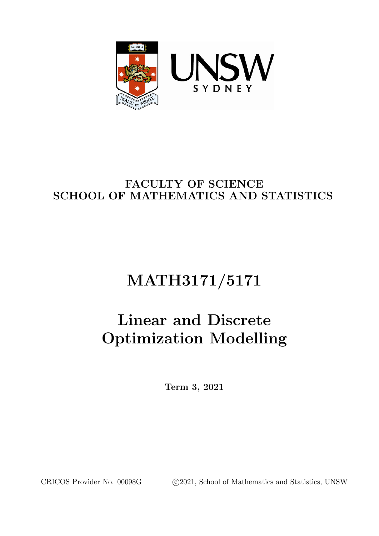

# FACULTY OF SCIENCE SCHOOL OF MATHEMATICS AND STATISTICS

# MATH3171/5171

# Linear and Discrete Optimization Modelling

Term 3, 2021

CRICOS Provider No. 00098G (c)2021, School of Mathematics and Statistics, UNSW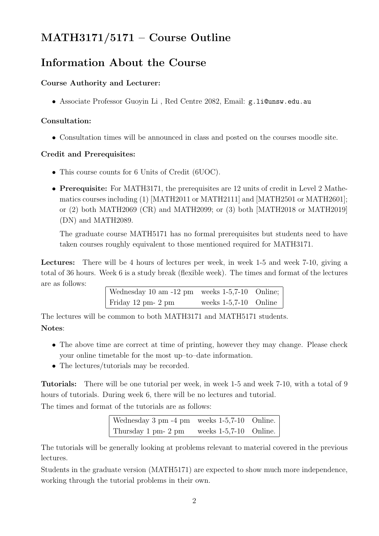# MATH3171/5171 – Course Outline

### Information About the Course

#### Course Authority and Lecturer:

• Associate Professor Guoyin Li , Red Centre 2082, Email: g.li@unsw.edu.au

#### Consultation:

• Consultation times will be announced in class and posted on the courses moodle site.

#### Credit and Prerequisites:

- This course counts for 6 Units of Credit (6UOC).
- Prerequisite: For MATH3171, the prerequisites are 12 units of credit in Level 2 Mathematics courses including (1) [MATH2011 or MATH2111] and [MATH2501 or MATH2601]; or (2) both MATH2069 (CR) and MATH2099; or (3) both [MATH2018 or MATH2019] (DN) and MATH2089.

The graduate course MATH5171 has no formal prerequisites but students need to have taken courses roughly equivalent to those mentioned required for MATH3171.

Lectures: There will be 4 hours of lectures per week, in week 1-5 and week 7-10, giving a total of 36 hours. Week 6 is a study break (flexible week). The times and format of the lectures are as follows:

| Wednesday 10 am -12 pm weeks $1-5,7-10$ Online; |                         |  |
|-------------------------------------------------|-------------------------|--|
| Friday 12 pm $2 \text{ pm}$                     | weeks $1-5,7-10$ Online |  |

The lectures will be common to both MATH3171 and MATH5171 students.

#### Notes:

- The above time are correct at time of printing, however they may change. Please check your online timetable for the most up–to–date information.
- The lectures/tutorials may be recorded.

Tutorials: There will be one tutorial per week, in week 1-5 and week 7-10, with a total of 9 hours of tutorials. During week 6, there will be no lectures and tutorial.

The times and format of the tutorials are as follows:

| Wednesday $3 \text{ pm } -4 \text{ pm}$ weeks $1-5,7-10$ Online. |                          |  |
|------------------------------------------------------------------|--------------------------|--|
| Thursday 1 pm- 2 pm                                              | weeks $1-5,7-10$ Online. |  |

The tutorials will be generally looking at problems relevant to material covered in the previous lectures.

Students in the graduate version (MATH5171) are expected to show much more independence, working through the tutorial problems in their own.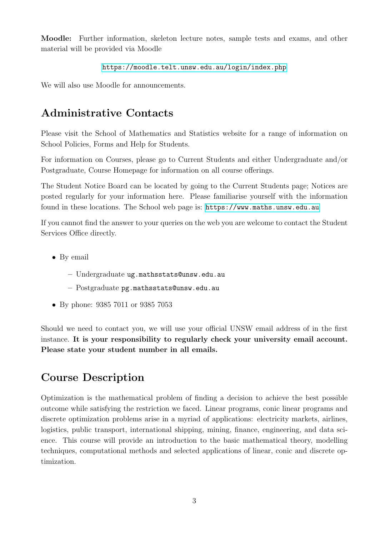Moodle: Further information, skeleton lecture notes, sample tests and exams, and other material will be provided via Moodle

```
https://moodle.telt.unsw.edu.au/login/index.php
```
We will also use Moodle for announcements.

### Administrative Contacts

Please visit the School of Mathematics and Statistics website for a range of information on School Policies, Forms and Help for Students.

For information on Courses, please go to Current Students and either Undergraduate and/or Postgraduate, Course Homepage for information on all course offerings.

The Student Notice Board can be located by going to the Current Students page; Notices are posted regularly for your information here. Please familiarise yourself with the information found in these locations. The School web page is: <https://www.maths.unsw.edu.au>

If you cannot find the answer to your queries on the web you are welcome to contact the Student Services Office directly.

- By email
	- Undergraduate ug.mathsstats@unsw.edu.au
	- Postgraduate pg.mathsstats@unsw.edu.au
- By phone: 9385 7011 or 9385 7053

Should we need to contact you, we will use your official UNSW email address of in the first instance. It is your responsibility to regularly check your university email account. Please state your student number in all emails.

# Course Description

Optimization is the mathematical problem of finding a decision to achieve the best possible outcome while satisfying the restriction we faced. Linear programs, conic linear programs and discrete optimization problems arise in a myriad of applications: electricity markets, airlines, logistics, public transport, international shipping, mining, finance, engineering, and data science. This course will provide an introduction to the basic mathematical theory, modelling techniques, computational methods and selected applications of linear, conic and discrete optimization.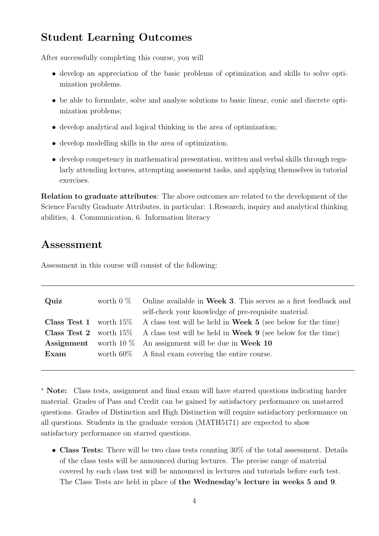### Student Learning Outcomes

After successfully completing this course, you will

- develop an appreciation of the basic problems of optimization and skills to solve optimization problems.
- be able to formulate, solve and analyse solutions to basic linear, conic and discrete optimization problems;
- develop analytical and logical thinking in the area of optimization;
- develop modelling skills in the area of optimization.
- develop competency in mathematical presentation, written and verbal skills through regularly attending lectures, attempting assessment tasks, and applying themselves in tutorial exercises.

Relation to graduate attributes: The above outcomes are related to the development of the Science Faculty Graduate Attributes, in particular: 1.Research, inquiry and analytical thinking abilities, 4. Communication, 6. Information literacy

### Assessment

Assessment in this course will consist of the following:

| Quiz | worth $0\%$ Online available in Week 3. This serves as a first feedback and<br>self-check your knowledge of pre-requisite material. |
|------|-------------------------------------------------------------------------------------------------------------------------------------|
|      | <b>Class Test 1</b> worth 15% A class test will be held in Week 5 (see below for the time)                                          |
|      | <b>Class Test 2</b> worth 15% A class test will be held in Week 9 (see below for the time)                                          |
|      | <b>Assignment</b> worth 10 $\%$ An assignment will be due in Week 10                                                                |
| Exam | worth $60\%$ A final exam covering the entire course.                                                                               |
|      |                                                                                                                                     |

<sup>∗</sup> Note: Class tests, assignment and final exam will have starred questions indicating harder material. Grades of Pass and Credit can be gained by satisfactory performance on unstarred questions. Grades of Distinction and High Distinction will require satisfactory performance on all questions. Students in the graduate version (MATH5171) are expected to show satisfactory performance on starred questions.

• Class Tests: There will be two class tests counting 30% of the total assessment. Details of the class tests will be announced during lectures. The precise range of material covered by each class test will be announced in lectures and tutorials before each test. The Class Tests are held in place of the Wednesday's lecture in weeks 5 and 9.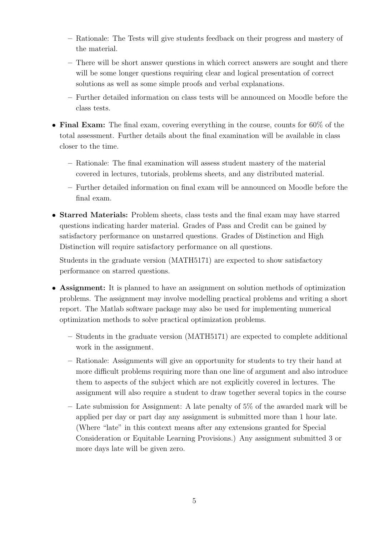- Rationale: The Tests will give students feedback on their progress and mastery of the material.
- There will be short answer questions in which correct answers are sought and there will be some longer questions requiring clear and logical presentation of correct solutions as well as some simple proofs and verbal explanations.
- Further detailed information on class tests will be announced on Moodle before the class tests.
- Final Exam: The final exam, covering everything in the course, counts for 60% of the total assessment. Further details about the final examination will be available in class closer to the time.
	- Rationale: The final examination will assess student mastery of the material covered in lectures, tutorials, problems sheets, and any distributed material.
	- Further detailed information on final exam will be announced on Moodle before the final exam.
- Starred Materials: Problem sheets, class tests and the final exam may have starred questions indicating harder material. Grades of Pass and Credit can be gained by satisfactory performance on unstarred questions. Grades of Distinction and High Distinction will require satisfactory performance on all questions.

Students in the graduate version (MATH5171) are expected to show satisfactory performance on starred questions.

- Assignment: It is planned to have an assignment on solution methods of optimization problems. The assignment may involve modelling practical problems and writing a short report. The Matlab software package may also be used for implementing numerical optimization methods to solve practical optimization problems.
	- Students in the graduate version (MATH5171) are expected to complete additional work in the assignment.
	- Rationale: Assignments will give an opportunity for students to try their hand at more difficult problems requiring more than one line of argument and also introduce them to aspects of the subject which are not explicitly covered in lectures. The assignment will also require a student to draw together several topics in the course
	- Late submission for Assignment: A late penalty of 5% of the awarded mark will be applied per day or part day any assignment is submitted more than 1 hour late. (Where "late" in this context means after any extensions granted for Special Consideration or Equitable Learning Provisions.) Any assignment submitted 3 or more days late will be given zero.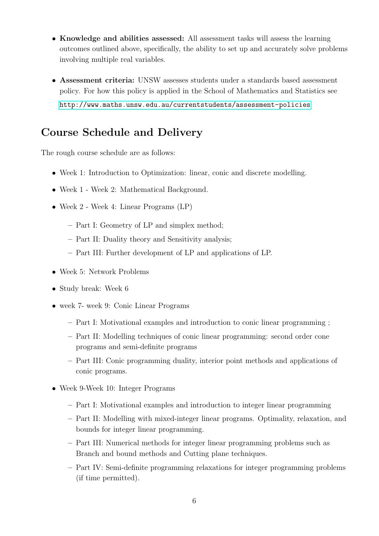- Knowledge and abilities assessed: All assessment tasks will assess the learning outcomes outlined above, specifically, the ability to set up and accurately solve problems involving multiple real variables.
- Assessment criteria: UNSW assesses students under a standards based assessment policy. For how this policy is applied in the School of Mathematics and Statistics see <http://www.maths.unsw.edu.au/currentstudents/assessment-policies>

### Course Schedule and Delivery

The rough course schedule are as follows:

- Week 1: Introduction to Optimization: linear, conic and discrete modelling.
- Week 1 Week 2: Mathematical Background.
- Week 2 Week 4: Linear Programs (LP)
	- Part I: Geometry of LP and simplex method;
	- Part II: Duality theory and Sensitivity analysis;
	- Part III: Further development of LP and applications of LP.
- Week 5: Network Problems
- Study break: Week 6
- week 7- week 9: Conic Linear Programs
	- Part I: Motivational examples and introduction to conic linear programming ;
	- Part II: Modelling techniques of conic linear programming: second order cone programs and semi-definite programs
	- Part III: Conic programming duality, interior point methods and applications of conic programs.
- Week 9-Week 10: Integer Programs
	- Part I: Motivational examples and introduction to integer linear programming
	- Part II: Modelling with mixed-integer linear programs. Optimality, relaxation, and bounds for integer linear programming.
	- Part III: Numerical methods for integer linear programming problems such as Branch and bound methods and Cutting plane techniques.
	- Part IV: Semi-definite programming relaxations for integer programming problems (if time permitted).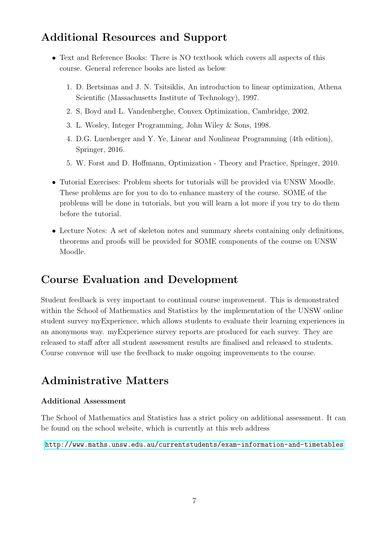# Additional Resources and Support

- Text and Reference Books: There is NO textbook which covers all aspects of this course. General reference books are listed as below
	- 1. D. Bertsimas and J. N. Tsitsiklis, An introduction to linear optimization, Athena Scientific (Massachusetts Institute of Technology), 1997.
	- 2. S, Boyd and L. Vandenberghe, Convex Optimization, Cambridge, 2002.
	- 3. L. Wosley, Integer Programming, John Wiley & Sons, 1998.
	- 4. D.G. Luenberger and Y. Ye, Linear and Nonlinear Programming (4th edition), Springer, 2016.
	- 5. W. Forst and D. Hoffmann, Optimization Theory and Practice, Springer, 2010.
- Tutorial Exercises: Problem sheets for tutorials will be provided via UNSW Moodle. These problems are for you to do to enhance mastery of the course. SOME of the problems will be done in tutorials, but you will learn a lot more if you try to do them before the tutorial.
- Lecture Notes: A set of skeleton notes and summary sheets containing only definitions, theorems and proofs will be provided for SOME components of the course on UNSW Moodle.

# Course Evaluation and Development

Student feedback is very important to continual course improvement. This is demonstrated within the School of Mathematics and Statistics by the implementation of the UNSW online student survey myExperience, which allows students to evaluate their learning experiences in an anonymous way. myExperience survey reports are produced for each survey. They are released to staff after all student assessment results are finalised and released to students. Course convenor will use the feedback to make ongoing improvements to the course.

# Administrative Matters

#### Additional Assessment

The School of Mathematics and Statistics has a strict policy on additional assessment. It can be found on the school website, which is currently at this web address

<http://www.maths.unsw.edu.au/currentstudents/exam-information-and-timetables>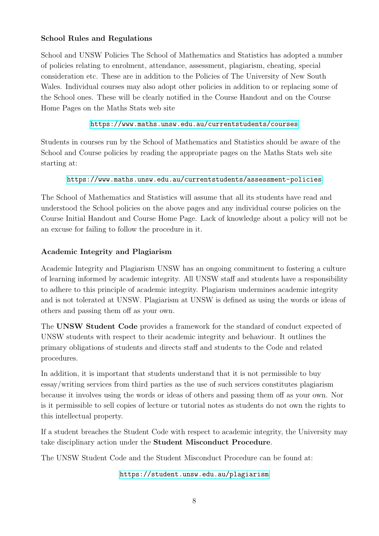#### School Rules and Regulations

School and UNSW Policies The School of Mathematics and Statistics has adopted a number of policies relating to enrolment, attendance, assessment, plagiarism, cheating, special consideration etc. These are in addition to the Policies of The University of New South Wales. Individual courses may also adopt other policies in addition to or replacing some of the School ones. These will be clearly notified in the Course Handout and on the Course Home Pages on the Maths Stats web site

<https://www.maths.unsw.edu.au/currentstudents/courses>

Students in courses run by the School of Mathematics and Statistics should be aware of the School and Course policies by reading the appropriate pages on the Maths Stats web site starting at:

<https://www.maths.unsw.edu.au/currentstudents/assessment-policies>

The School of Mathematics and Statistics will assume that all its students have read and understood the School policies on the above pages and any individual course policies on the Course Initial Handout and Course Home Page. Lack of knowledge about a policy will not be an excuse for failing to follow the procedure in it.

#### Academic Integrity and Plagiarism

Academic Integrity and Plagiarism UNSW has an ongoing commitment to fostering a culture of learning informed by academic integrity. All UNSW staff and students have a responsibility to adhere to this principle of academic integrity. Plagiarism undermines academic integrity and is not tolerated at UNSW. Plagiarism at UNSW is defined as using the words or ideas of others and passing them off as your own.

The UNSW Student Code provides a framework for the standard of conduct expected of UNSW students with respect to their academic integrity and behaviour. It outlines the primary obligations of students and directs staff and students to the Code and related procedures.

In addition, it is important that students understand that it is not permissible to buy essay/writing services from third parties as the use of such services constitutes plagiarism because it involves using the words or ideas of others and passing them off as your own. Nor is it permissible to sell copies of lecture or tutorial notes as students do not own the rights to this intellectual property.

If a student breaches the Student Code with respect to academic integrity, the University may take disciplinary action under the Student Misconduct Procedure.

The UNSW Student Code and the Student Misconduct Procedure can be found at:

<https://student.unsw.edu.au/plagiarism>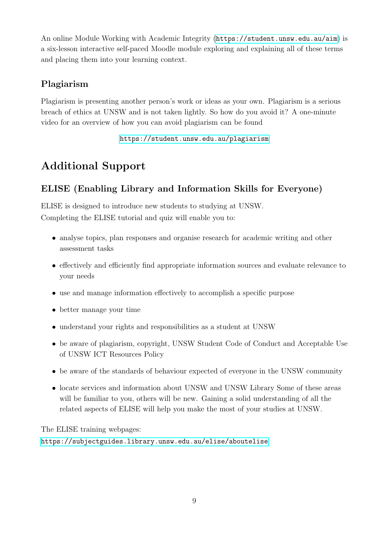An online Module Working with Academic Integrity (<https://student.unsw.edu.au/aim>) is a six-lesson interactive self-paced Moodle module exploring and explaining all of these terms and placing them into your learning context.

### Plagiarism

Plagiarism is presenting another person's work or ideas as your own. Plagiarism is a serious breach of ethics at UNSW and is not taken lightly. So how do you avoid it? A one-minute video for an overview of how you can avoid plagiarism can be found

<https://student.unsw.edu.au/plagiarism>

# Additional Support

### ELISE (Enabling Library and Information Skills for Everyone)

ELISE is designed to introduce new students to studying at UNSW. Completing the ELISE tutorial and quiz will enable you to:

- analyse topics, plan responses and organise research for academic writing and other assessment tasks
- effectively and efficiently find appropriate information sources and evaluate relevance to your needs
- use and manage information effectively to accomplish a specific purpose
- better manage your time
- understand your rights and responsibilities as a student at UNSW
- be aware of plagiarism, copyright, UNSW Student Code of Conduct and Acceptable Use of UNSW ICT Resources Policy
- be aware of the standards of behaviour expected of everyone in the UNSW community
- locate services and information about UNSW and UNSW Library Some of these areas will be familiar to you, others will be new. Gaining a solid understanding of all the related aspects of ELISE will help you make the most of your studies at UNSW.

The ELISE training webpages:

<https://subjectguides.library.unsw.edu.au/elise/aboutelise>